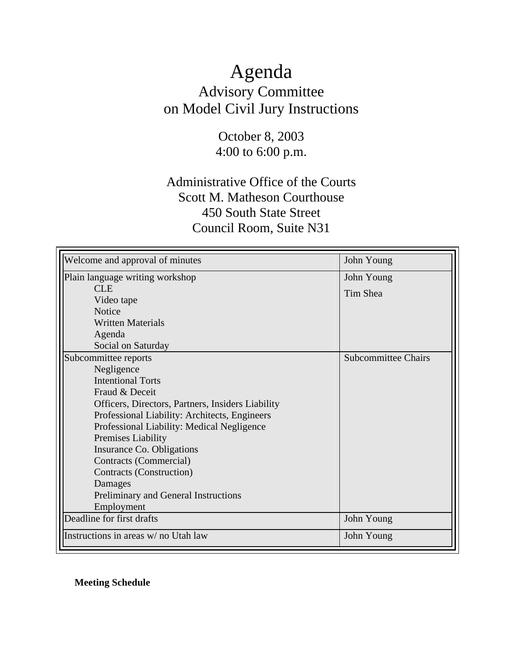### Agenda Advisory Committee on Model Civil Jury Instructions

October 8, 2003 4:00 to 6:00 p.m.

### Administrative Office of the Courts Scott M. Matheson Courthouse 450 South State Street Council Room, Suite N31

| Welcome and approval of minutes                   | John Young                 |
|---------------------------------------------------|----------------------------|
| Plain language writing workshop                   | John Young                 |
| <b>CLE</b>                                        | Tim Shea                   |
| Video tape                                        |                            |
| <b>Notice</b>                                     |                            |
| <b>Written Materials</b>                          |                            |
| Agenda                                            |                            |
| Social on Saturday                                |                            |
| Subcommittee reports                              | <b>Subcommittee Chairs</b> |
| Negligence                                        |                            |
| <b>Intentional Torts</b>                          |                            |
| Fraud & Deceit                                    |                            |
| Officers, Directors, Partners, Insiders Liability |                            |
| Professional Liability: Architects, Engineers     |                            |
| Professional Liability: Medical Negligence        |                            |
| Premises Liability                                |                            |
| Insurance Co. Obligations                         |                            |
| Contracts (Commercial)                            |                            |
| Contracts (Construction)                          |                            |
| Damages                                           |                            |
| Preliminary and General Instructions              |                            |
| Employment                                        |                            |
| Deadline for first drafts                         | John Young                 |
| Instructions in areas w/ no Utah law              | John Young                 |

**Meeting Schedule**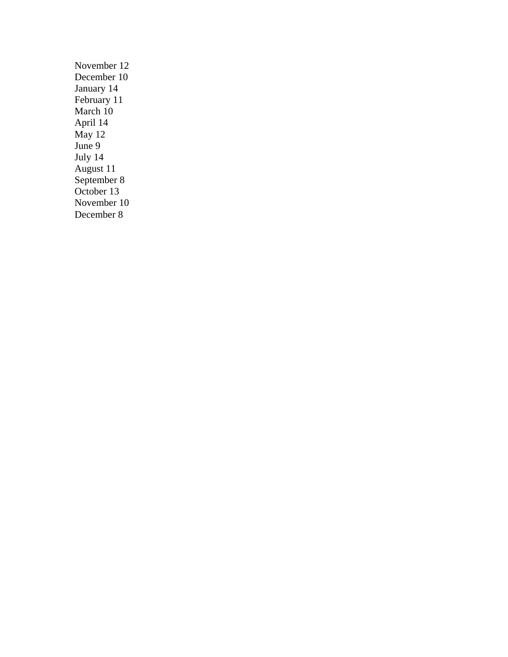November 12 December 10 January 14 February 11 March 10 April 14 May 12 June 9 July 14 August 11 September 8 October 13 November 10 December 8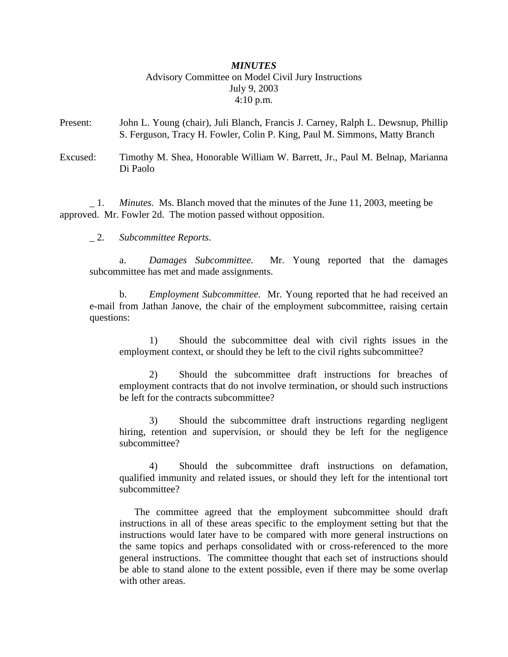#### *MINUTES* Advisory Committee on Model Civil Jury Instructions July 9, 2003 4:10 p.m.

- Present: John L. Young (chair), Juli Blanch, Francis J. Carney, Ralph L. Dewsnup, Phillip S. Ferguson, Tracy H. Fowler, Colin P. King, Paul M. Simmons, Matty Branch
- Excused: Timothy M. Shea, Honorable William W. Barrett, Jr., Paul M. Belnap, Marianna Di Paolo

\_ 1. *Minutes.* Ms. Blanch moved that the minutes of the June 11, 2003, meeting be approved. Mr. Fowler 2d. The motion passed without opposition.

\_ 2. *Subcommittee Reports.*

a. *Damages Subcommittee.* Mr. Young reported that the damages subcommittee has met and made assignments.

b. *Employment Subcommittee.* Mr. Young reported that he had received an e-mail from Jathan Janove, the chair of the employment subcommittee, raising certain questions:

1) Should the subcommittee deal with civil rights issues in the employment context, or should they be left to the civil rights subcommittee?

2) Should the subcommittee draft instructions for breaches of employment contracts that do not involve termination, or should such instructions be left for the contracts subcommittee?

3) Should the subcommittee draft instructions regarding negligent hiring, retention and supervision, or should they be left for the negligence subcommittee?

4) Should the subcommittee draft instructions on defamation, qualified immunity and related issues, or should they left for the intentional tort subcommittee?

The committee agreed that the employment subcommittee should draft instructions in all of these areas specific to the employment setting but that the instructions would later have to be compared with more general instructions on the same topics and perhaps consolidated with or cross-referenced to the more general instructions. The committee thought that each set of instructions should be able to stand alone to the extent possible, even if there may be some overlap with other areas.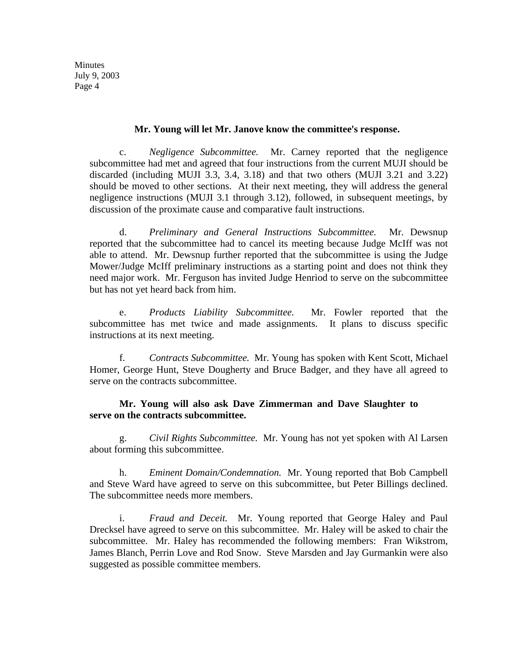Minutes July 9, 2003 Page 4

#### **Mr. Young will let Mr. Janove know the committee's response.**

c. *Negligence Subcommittee.* Mr. Carney reported that the negligence subcommittee had met and agreed that four instructions from the current MUJI should be discarded (including MUJI 3.3, 3.4, 3.18) and that two others (MUJI 3.21 and 3.22) should be moved to other sections. At their next meeting, they will address the general negligence instructions (MUJI 3.1 through 3.12), followed, in subsequent meetings, by discussion of the proximate cause and comparative fault instructions.

d. *Preliminary and General Instructions Subcommittee.* Mr. Dewsnup reported that the subcommittee had to cancel its meeting because Judge McIff was not able to attend. Mr. Dewsnup further reported that the subcommittee is using the Judge Mower/Judge McIff preliminary instructions as a starting point and does not think they need major work. Mr. Ferguson has invited Judge Henriod to serve on the subcommittee but has not yet heard back from him.

e. *Products Liability Subcommittee.* Mr. Fowler reported that the subcommittee has met twice and made assignments. It plans to discuss specific instructions at its next meeting.

f. *Contracts Subcommittee.* Mr. Young has spoken with Kent Scott, Michael Homer, George Hunt, Steve Dougherty and Bruce Badger, and they have all agreed to serve on the contracts subcommittee.

#### **Mr. Young will also ask Dave Zimmerman and Dave Slaughter to serve on the contracts subcommittee.**

g. *Civil Rights Subcommittee.* Mr. Young has not yet spoken with Al Larsen about forming this subcommittee.

h. *Eminent Domain/Condemnation.* Mr. Young reported that Bob Campbell and Steve Ward have agreed to serve on this subcommittee, but Peter Billings declined. The subcommittee needs more members.

i. *Fraud and Deceit.* Mr. Young reported that George Haley and Paul Drecksel have agreed to serve on this subcommittee. Mr. Haley will be asked to chair the subcommittee. Mr. Haley has recommended the following members: Fran Wikstrom, James Blanch, Perrin Love and Rod Snow. Steve Marsden and Jay Gurmankin were also suggested as possible committee members.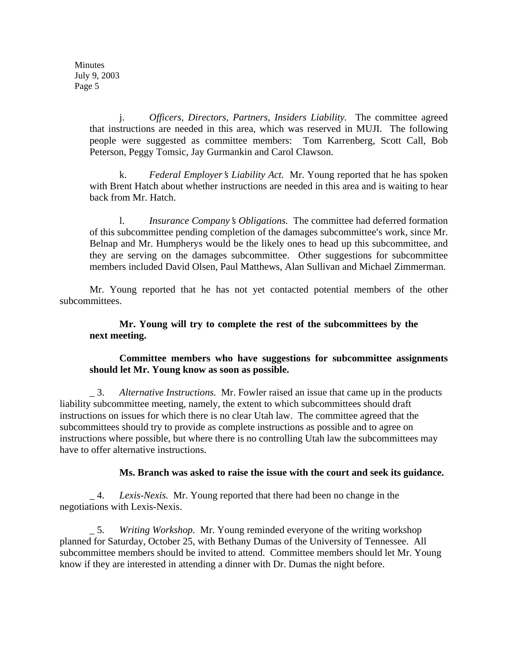Minutes July 9, 2003 Page 5

> j. *Officers, Directors, Partners, Insiders Liability.* The committee agreed that instructions are needed in this area, which was reserved in MUJI. The following people were suggested as committee members: Tom Karrenberg, Scott Call, Bob Peterson, Peggy Tomsic, Jay Gurmankin and Carol Clawson.

> k. *Federal Employer's Liability Act.* Mr. Young reported that he has spoken with Brent Hatch about whether instructions are needed in this area and is waiting to hear back from Mr. Hatch.

> l. *Insurance Company*=*s Obligations.* The committee had deferred formation of this subcommittee pending completion of the damages subcommittee's work, since Mr. Belnap and Mr. Humpherys would be the likely ones to head up this subcommittee, and they are serving on the damages subcommittee. Other suggestions for subcommittee members included David Olsen, Paul Matthews, Alan Sullivan and Michael Zimmerman.

Mr. Young reported that he has not yet contacted potential members of the other subcommittees.

#### **Mr. Young will try to complete the rest of the subcommittees by the next meeting.**

#### **Committee members who have suggestions for subcommittee assignments should let Mr. Young know as soon as possible.**

\_ 3. *Alternative Instructions.* Mr. Fowler raised an issue that came up in the products liability subcommittee meeting, namely, the extent to which subcommittees should draft instructions on issues for which there is no clear Utah law. The committee agreed that the subcommittees should try to provide as complete instructions as possible and to agree on instructions where possible, but where there is no controlling Utah law the subcommittees may have to offer alternative instructions.

#### **Ms. Branch was asked to raise the issue with the court and seek its guidance.**

\_ 4. *Lexis-Nexis.* Mr. Young reported that there had been no change in the negotiations with Lexis-Nexis.

\_ 5. *Writing Workshop.* Mr. Young reminded everyone of the writing workshop planned for Saturday, October 25, with Bethany Dumas of the University of Tennessee. All subcommittee members should be invited to attend. Committee members should let Mr. Young know if they are interested in attending a dinner with Dr. Dumas the night before.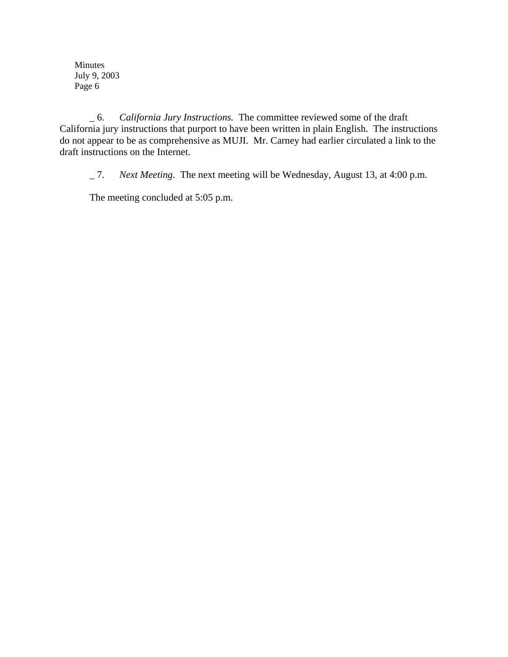Minutes July 9, 2003 Page 6

\_ 6. *California Jury Instructions.* The committee reviewed some of the draft California jury instructions that purport to have been written in plain English. The instructions do not appear to be as comprehensive as MUJI. Mr. Carney had earlier circulated a link to the draft instructions on the Internet.

\_ 7. *Next Meeting.* The next meeting will be Wednesday, August 13, at 4:00 p.m.

The meeting concluded at 5:05 p.m.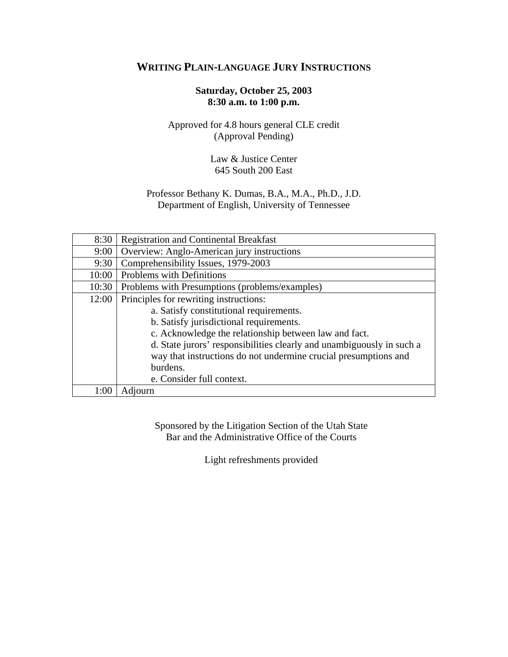#### **WRITING PLAIN-LANGUAGE JURY INSTRUCTIONS**

#### **Saturday, October 25, 2003 8:30 a.m. to 1:00 p.m.**

#### Approved for 4.8 hours general CLE credit (Approval Pending)

#### Law & Justice Center 645 South 200 East

#### Professor Bethany K. Dumas, B.A., M.A., Ph.D., J.D. Department of English, University of Tennessee

| 8:30  | <b>Registration and Continental Breakfast</b>                         |
|-------|-----------------------------------------------------------------------|
| 9:00  | Overview: Anglo-American jury instructions                            |
| 9:30  | Comprehensibility Issues, 1979-2003                                   |
| 10:00 | Problems with Definitions                                             |
| 10:30 | Problems with Presumptions (problems/examples)                        |
| 12:00 | Principles for rewriting instructions:                                |
|       | a. Satisfy constitutional requirements.                               |
|       | b. Satisfy jurisdictional requirements.                               |
|       | c. Acknowledge the relationship between law and fact.                 |
|       | d. State jurors' responsibilities clearly and unambiguously in such a |
|       | way that instructions do not undermine crucial presumptions and       |
|       | burdens.                                                              |
|       | e. Consider full context.                                             |
| 1:00  | Adjourn                                                               |

Sponsored by the Litigation Section of the Utah State Bar and the Administrative Office of the Courts

Light refreshments provided